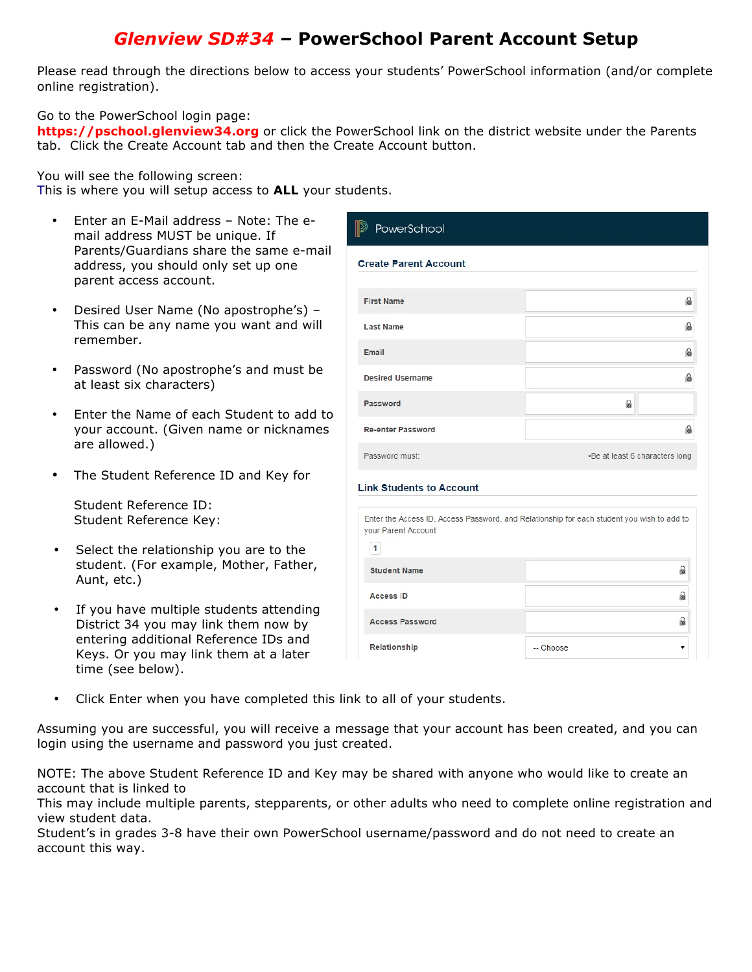# *Glenview SD#34 –* **PowerSchool Parent Account Setup**

Please read through the directions below to access your students' PowerSchool information (and/or complete online registration).

Go to the PowerSchool login page:

**https://pschool.glenview34.org** or click the PowerSchool link on the district website under the Parents tab. Click the Create Account tab and then the Create Account button.

You will see the following screen:

This is where you will setup access to **ALL** your students.

- Enter an E-Mail address Note: The email address MUST be unique. If Parents/Guardians share the same e-mail address, you should only set up one parent access account.
- Desired User Name (No apostrophe's) This can be any name you want and will remember.
- Password (No apostrophe's and must be at least six characters)
- Enter the Name of each Student to add to your account. (Given name or nicknames are allowed.)
- The Student Reference ID and Key for

Student Reference ID: Student Reference Key:

- Select the relationship you are to the student. (For example, Mother, Father, Aunt, etc.)
- If you have multiple students attending District 34 you may link them now by entering additional Reference IDs and Keys. Or you may link them at a later time (see below).

| <b>Create Parent Account</b>                                                               |                                |
|--------------------------------------------------------------------------------------------|--------------------------------|
|                                                                                            |                                |
| <b>First Name</b>                                                                          | ြ                              |
| <b>Last Name</b>                                                                           | ြ                              |
| Email                                                                                      | ြ                              |
| <b>Desired Username</b>                                                                    | ெ                              |
| Password                                                                                   | ß.                             |
| <b>Re-enter Password</b>                                                                   | ြ                              |
| Password must:                                                                             | -Be at least 6 characters long |
|                                                                                            |                                |
|                                                                                            |                                |
| <b>Link Students to Account</b>                                                            |                                |
| Enter the Access ID, Access Password, and Relationship for each student you wish to add to |                                |
| your Parent Account<br>1                                                                   |                                |
| <b>Student Name</b>                                                                        | 6                              |
| <b>Access ID</b>                                                                           | 6                              |

• Click Enter when you have completed this link to all of your students.

Assuming you are successful, you will receive a message that your account has been created, and you can login using the username and password you just created.

NOTE: The above Student Reference ID and Key may be shared with anyone who would like to create an account that is linked to

This may include multiple parents, stepparents, or other adults who need to complete online registration and view student data.

Student's in grades 3-8 have their own PowerSchool username/password and do not need to create an account this way.